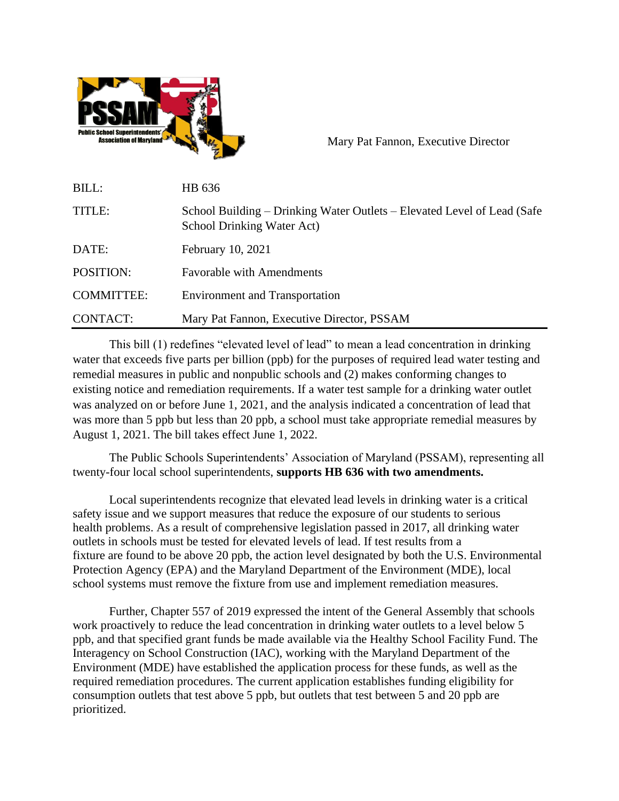

Mary Pat Fannon, Executive Director

| BILL:             | HB 636                                                                                                |
|-------------------|-------------------------------------------------------------------------------------------------------|
| TITLE:            | School Building – Drinking Water Outlets – Elevated Level of Lead (Safe<br>School Drinking Water Act) |
| DATE:             | February 10, 2021                                                                                     |
| POSITION:         | <b>Favorable with Amendments</b>                                                                      |
| <b>COMMITTEE:</b> | <b>Environment and Transportation</b>                                                                 |
| CONTACT:          | Mary Pat Fannon, Executive Director, PSSAM                                                            |

This bill (1) redefines "elevated level of lead" to mean a lead concentration in drinking water that exceeds five parts per billion (ppb) for the purposes of required lead water testing and remedial measures in public and nonpublic schools and (2) makes conforming changes to existing notice and remediation requirements. If a water test sample for a drinking water outlet was analyzed on or before June 1, 2021, and the analysis indicated a concentration of lead that was more than 5 ppb but less than 20 ppb, a school must take appropriate remedial measures by August 1, 2021. The bill takes effect June 1, 2022.

The Public Schools Superintendents' Association of Maryland (PSSAM), representing all twenty-four local school superintendents, **supports HB 636 with two amendments.**

Local superintendents recognize that elevated lead levels in drinking water is a critical safety issue and we support measures that reduce the exposure of our students to serious health problems. As a result of comprehensive legislation passed in 2017, all drinking water outlets in schools must be tested for elevated levels of lead. If test results from a fixture are found to be above 20 ppb, the action level designated by both the U.S. Environmental Protection Agency (EPA) and the Maryland Department of the Environment (MDE), local school systems must remove the fixture from use and implement remediation measures.

Further, Chapter 557 of 2019 expressed the intent of the General Assembly that schools work proactively to reduce the lead concentration in drinking water outlets to a level below 5 ppb, and that specified grant funds be made available via the Healthy School Facility Fund. The Interagency on School Construction (IAC), working with the Maryland Department of the Environment (MDE) have established the application process for these funds, as well as the required remediation procedures. The current application establishes funding eligibility for consumption outlets that test above 5 ppb, but outlets that test between 5 and 20 ppb are prioritized.